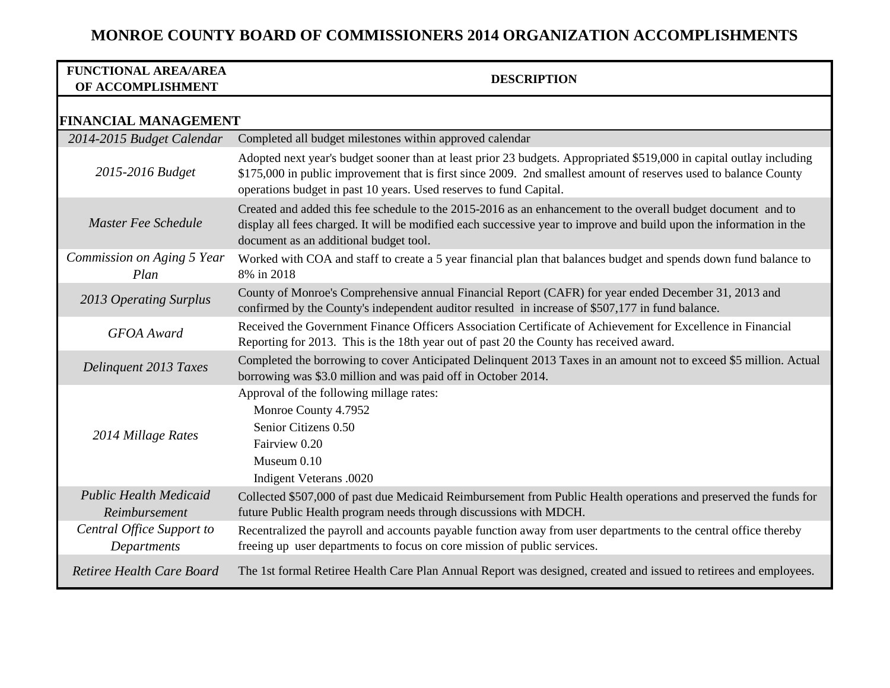| <b>FUNCTIONAL AREA/AREA</b><br>OF ACCOMPLISHMENT | <b>DESCRIPTION</b>                                                                                                                                                                                                                                                                                             |
|--------------------------------------------------|----------------------------------------------------------------------------------------------------------------------------------------------------------------------------------------------------------------------------------------------------------------------------------------------------------------|
| <b>FINANCIAL MANAGEMENT</b>                      |                                                                                                                                                                                                                                                                                                                |
| 2014-2015 Budget Calendar                        | Completed all budget milestones within approved calendar                                                                                                                                                                                                                                                       |
| 2015-2016 Budget                                 | Adopted next year's budget sooner than at least prior 23 budgets. Appropriated \$519,000 in capital outlay including<br>\$175,000 in public improvement that is first since 2009. 2nd smallest amount of reserves used to balance County<br>operations budget in past 10 years. Used reserves to fund Capital. |
| Master Fee Schedule                              | Created and added this fee schedule to the 2015-2016 as an enhancement to the overall budget document and to<br>display all fees charged. It will be modified each successive year to improve and build upon the information in the<br>document as an additional budget tool.                                  |
| Commission on Aging 5 Year<br>Plan               | Worked with COA and staff to create a 5 year financial plan that balances budget and spends down fund balance to<br>8% in 2018                                                                                                                                                                                 |
| 2013 Operating Surplus                           | County of Monroe's Comprehensive annual Financial Report (CAFR) for year ended December 31, 2013 and<br>confirmed by the County's independent auditor resulted in increase of \$507,177 in fund balance.                                                                                                       |
| <b>GFOA</b> Award                                | Received the Government Finance Officers Association Certificate of Achievement for Excellence in Financial<br>Reporting for 2013. This is the 18th year out of past 20 the County has received award.                                                                                                         |
| Delinquent 2013 Taxes                            | Completed the borrowing to cover Anticipated Delinquent 2013 Taxes in an amount not to exceed \$5 million. Actual<br>borrowing was \$3.0 million and was paid off in October 2014.                                                                                                                             |
| 2014 Millage Rates                               | Approval of the following millage rates:<br>Monroe County 4.7952<br>Senior Citizens 0.50<br>Fairview 0.20<br>Museum 0.10<br>Indigent Veterans .0020                                                                                                                                                            |
| <b>Public Health Medicaid</b><br>Reimbursement   | Collected \$507,000 of past due Medicaid Reimbursement from Public Health operations and preserved the funds for<br>future Public Health program needs through discussions with MDCH.                                                                                                                          |
| Central Office Support to<br>Departments         | Recentralized the payroll and accounts payable function away from user departments to the central office thereby<br>freeing up user departments to focus on core mission of public services.                                                                                                                   |
| Retiree Health Care Board                        | The 1st formal Retiree Health Care Plan Annual Report was designed, created and issued to retirees and employees.                                                                                                                                                                                              |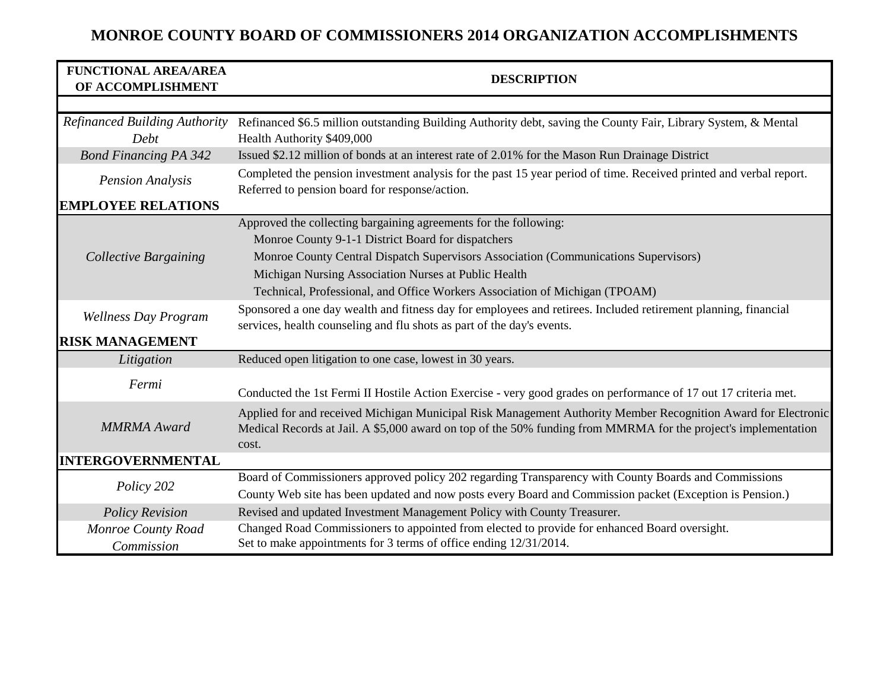| <b>FUNCTIONAL AREA/AREA</b><br>OF ACCOMPLISHMENT | <b>DESCRIPTION</b>                                                                                                                                                                                                                       |
|--------------------------------------------------|------------------------------------------------------------------------------------------------------------------------------------------------------------------------------------------------------------------------------------------|
|                                                  |                                                                                                                                                                                                                                          |
| <b>Refinanced Building Authority</b><br>Debt     | Refinanced \$6.5 million outstanding Building Authority debt, saving the County Fair, Library System, & Mental<br>Health Authority \$409,000                                                                                             |
| <b>Bond Financing PA 342</b>                     | Issued \$2.12 million of bonds at an interest rate of 2.01% for the Mason Run Drainage District                                                                                                                                          |
| <b>Pension Analysis</b>                          | Completed the pension investment analysis for the past 15 year period of time. Received printed and verbal report.<br>Referred to pension board for response/action.                                                                     |
| <b>EMPLOYEE RELATIONS</b>                        |                                                                                                                                                                                                                                          |
| <b>Collective Bargaining</b>                     | Approved the collecting bargaining agreements for the following:                                                                                                                                                                         |
|                                                  | Monroe County 9-1-1 District Board for dispatchers                                                                                                                                                                                       |
|                                                  | Monroe County Central Dispatch Supervisors Association (Communications Supervisors)                                                                                                                                                      |
|                                                  | Michigan Nursing Association Nurses at Public Health                                                                                                                                                                                     |
|                                                  | Technical, Professional, and Office Workers Association of Michigan (TPOAM)                                                                                                                                                              |
| <b>Wellness Day Program</b>                      | Sponsored a one day wealth and fitness day for employees and retirees. Included retirement planning, financial<br>services, health counseling and flu shots as part of the day's events.                                                 |
| <b>RISK MANAGEMENT</b>                           |                                                                                                                                                                                                                                          |
| Litigation                                       | Reduced open litigation to one case, lowest in 30 years.                                                                                                                                                                                 |
| Fermi                                            | Conducted the 1st Fermi II Hostile Action Exercise - very good grades on performance of 17 out 17 criteria met.                                                                                                                          |
| <b>MMRMA</b> Award                               | Applied for and received Michigan Municipal Risk Management Authority Member Recognition Award for Electronic<br>Medical Records at Jail. A \$5,000 award on top of the 50% funding from MMRMA for the project's implementation<br>cost. |
| <b>INTERGOVERNMENTAL</b>                         |                                                                                                                                                                                                                                          |
| Policy 202                                       | Board of Commissioners approved policy 202 regarding Transparency with County Boards and Commissions                                                                                                                                     |
|                                                  | County Web site has been updated and now posts every Board and Commission packet (Exception is Pension.)                                                                                                                                 |
| <b>Policy Revision</b>                           | Revised and updated Investment Management Policy with County Treasurer.                                                                                                                                                                  |
| Monroe County Road                               | Changed Road Commissioners to appointed from elected to provide for enhanced Board oversight.                                                                                                                                            |
| Commission                                       | Set to make appointments for 3 terms of office ending 12/31/2014.                                                                                                                                                                        |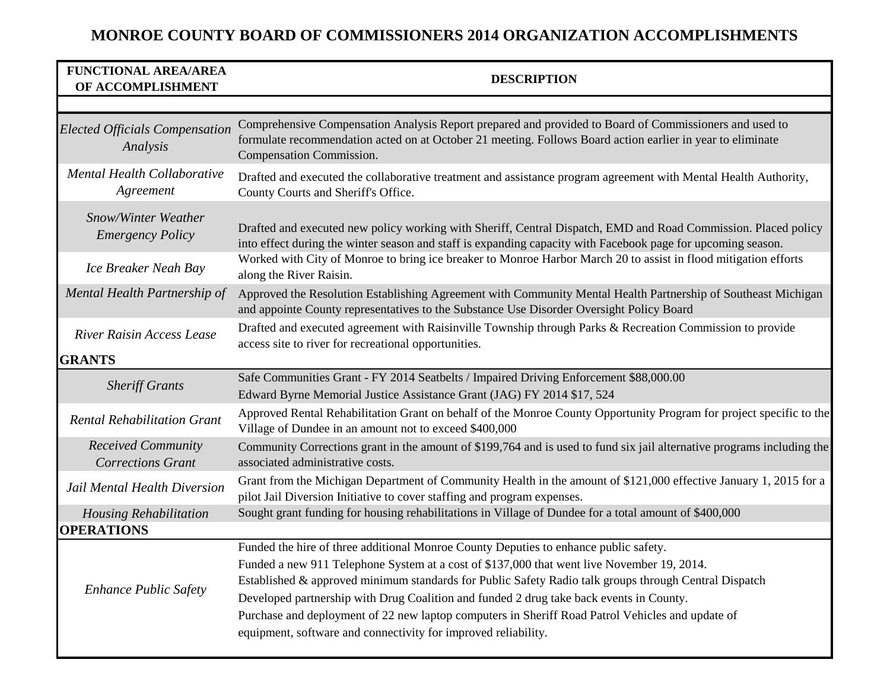| <b>FUNCTIONAL AREA/AREA</b><br>OF ACCOMPLISHMENT      | <b>DESCRIPTION</b>                                                                                                                                                                                                                                                                                                                                                                                                                                                                                                                                           |
|-------------------------------------------------------|--------------------------------------------------------------------------------------------------------------------------------------------------------------------------------------------------------------------------------------------------------------------------------------------------------------------------------------------------------------------------------------------------------------------------------------------------------------------------------------------------------------------------------------------------------------|
|                                                       |                                                                                                                                                                                                                                                                                                                                                                                                                                                                                                                                                              |
| <b>Elected Officials Compensation</b><br>Analysis     | Comprehensive Compensation Analysis Report prepared and provided to Board of Commissioners and used to<br>formulate recommendation acted on at October 21 meeting. Follows Board action earlier in year to eliminate<br>Compensation Commission.                                                                                                                                                                                                                                                                                                             |
| Mental Health Collaborative<br>Agreement              | Drafted and executed the collaborative treatment and assistance program agreement with Mental Health Authority,<br>County Courts and Sheriff's Office.                                                                                                                                                                                                                                                                                                                                                                                                       |
| Snow/Winter Weather<br><b>Emergency Policy</b>        | Drafted and executed new policy working with Sheriff, Central Dispatch, EMD and Road Commission. Placed policy<br>into effect during the winter season and staff is expanding capacity with Facebook page for upcoming season.                                                                                                                                                                                                                                                                                                                               |
| Ice Breaker Neah Bay                                  | Worked with City of Monroe to bring ice breaker to Monroe Harbor March 20 to assist in flood mitigation efforts<br>along the River Raisin.                                                                                                                                                                                                                                                                                                                                                                                                                   |
| Mental Health Partnership of                          | Approved the Resolution Establishing Agreement with Community Mental Health Partnership of Southeast Michigan<br>and appointe County representatives to the Substance Use Disorder Oversight Policy Board                                                                                                                                                                                                                                                                                                                                                    |
| <b>River Raisin Access Lease</b>                      | Drafted and executed agreement with Raisinville Township through Parks & Recreation Commission to provide<br>access site to river for recreational opportunities.                                                                                                                                                                                                                                                                                                                                                                                            |
| <b>GRANTS</b>                                         |                                                                                                                                                                                                                                                                                                                                                                                                                                                                                                                                                              |
| <b>Sheriff Grants</b>                                 | Safe Communities Grant - FY 2014 Seatbelts / Impaired Driving Enforcement \$88,000.00<br>Edward Byrne Memorial Justice Assistance Grant (JAG) FY 2014 \$17, 524                                                                                                                                                                                                                                                                                                                                                                                              |
| <b>Rental Rehabilitation Grant</b>                    | Approved Rental Rehabilitation Grant on behalf of the Monroe County Opportunity Program for project specific to the<br>Village of Dundee in an amount not to exceed \$400,000                                                                                                                                                                                                                                                                                                                                                                                |
| <b>Received Community</b><br><b>Corrections Grant</b> | Community Corrections grant in the amount of \$199,764 and is used to fund six jail alternative programs including the<br>associated administrative costs.                                                                                                                                                                                                                                                                                                                                                                                                   |
| Jail Mental Health Diversion                          | Grant from the Michigan Department of Community Health in the amount of \$121,000 effective January 1, 2015 for a<br>pilot Jail Diversion Initiative to cover staffing and program expenses.                                                                                                                                                                                                                                                                                                                                                                 |
| <b>Housing Rehabilitation</b>                         | Sought grant funding for housing rehabilitations in Village of Dundee for a total amount of \$400,000                                                                                                                                                                                                                                                                                                                                                                                                                                                        |
| <b>OPERATIONS</b>                                     |                                                                                                                                                                                                                                                                                                                                                                                                                                                                                                                                                              |
| <b>Enhance Public Safety</b>                          | Funded the hire of three additional Monroe County Deputies to enhance public safety.<br>Funded a new 911 Telephone System at a cost of \$137,000 that went live November 19, 2014.<br>Established & approved minimum standards for Public Safety Radio talk groups through Central Dispatch<br>Developed partnership with Drug Coalition and funded 2 drug take back events in County.<br>Purchase and deployment of 22 new laptop computers in Sheriff Road Patrol Vehicles and update of<br>equipment, software and connectivity for improved reliability. |